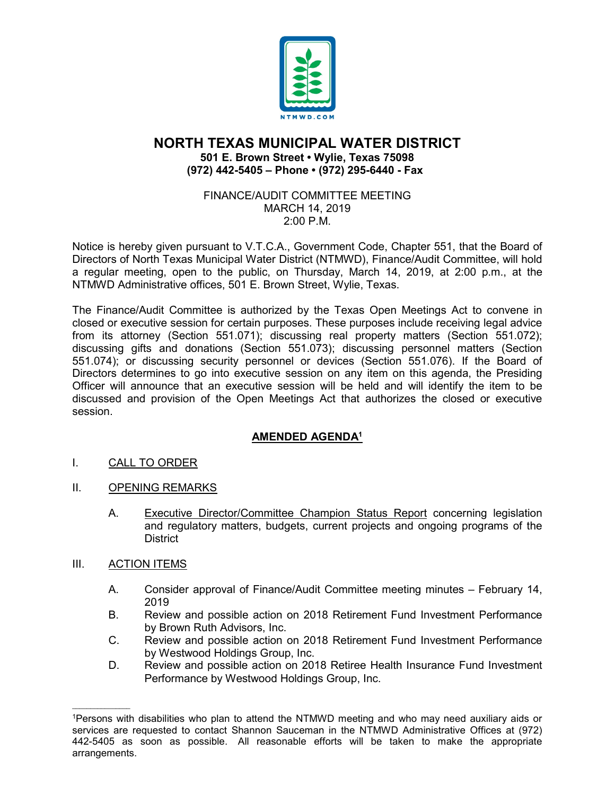

# **NORTH TEXAS MUNICIPAL WATER DISTRICT 501 E. Brown Street • Wylie, Texas 75098 (972) 442-5405 – Phone • (972) 295-6440 - Fax**

### FINANCE/AUDIT COMMITTEE MEETING MARCH 14, 2019 2:00 P.M.

Notice is hereby given pursuant to V.T.C.A., Government Code, Chapter 551, that the Board of Directors of North Texas Municipal Water District (NTMWD), Finance/Audit Committee, will hold a regular meeting, open to the public, on Thursday, March 14, 2019, at 2:00 p.m., at the NTMWD Administrative offices, 501 E. Brown Street, Wylie, Texas.

The Finance/Audit Committee is authorized by the Texas Open Meetings Act to convene in closed or executive session for certain purposes. These purposes include receiving legal advice from its attorney (Section 551.071); discussing real property matters (Section 551.072); discussing gifts and donations (Section 551.073); discussing personnel matters (Section 551.074); or discussing security personnel or devices (Section 551.076). If the Board of Directors determines to go into executive session on any item on this agenda, the Presiding Officer will announce that an executive session will be held and will identify the item to be discussed and provision of the Open Meetings Act that authorizes the closed or executive session.

# **AMENDED AGENDA1**

- I. CALL TO ORDER
- II. OPENING REMARKS
	- A. Executive Director/Committee Champion Status Report concerning legislation and regulatory matters, budgets, current projects and ongoing programs of the District
- III. ACTION ITEMS

 $\mathcal{L}_\text{max}$  and  $\mathcal{L}_\text{max}$  and  $\mathcal{L}_\text{max}$ 

- A. Consider approval of Finance/Audit Committee meeting minutes February 14, 2019
- B. Review and possible action on 2018 Retirement Fund Investment Performance by Brown Ruth Advisors, Inc.
- C. Review and possible action on 2018 Retirement Fund Investment Performance by Westwood Holdings Group, Inc.
- D. Review and possible action on 2018 Retiree Health Insurance Fund Investment Performance by Westwood Holdings Group, Inc.

<sup>1</sup>Persons with disabilities who plan to attend the NTMWD meeting and who may need auxiliary aids or services are requested to contact Shannon Sauceman in the NTMWD Administrative Offices at (972) 442-5405 as soon as possible. All reasonable efforts will be taken to make the appropriate arrangements.